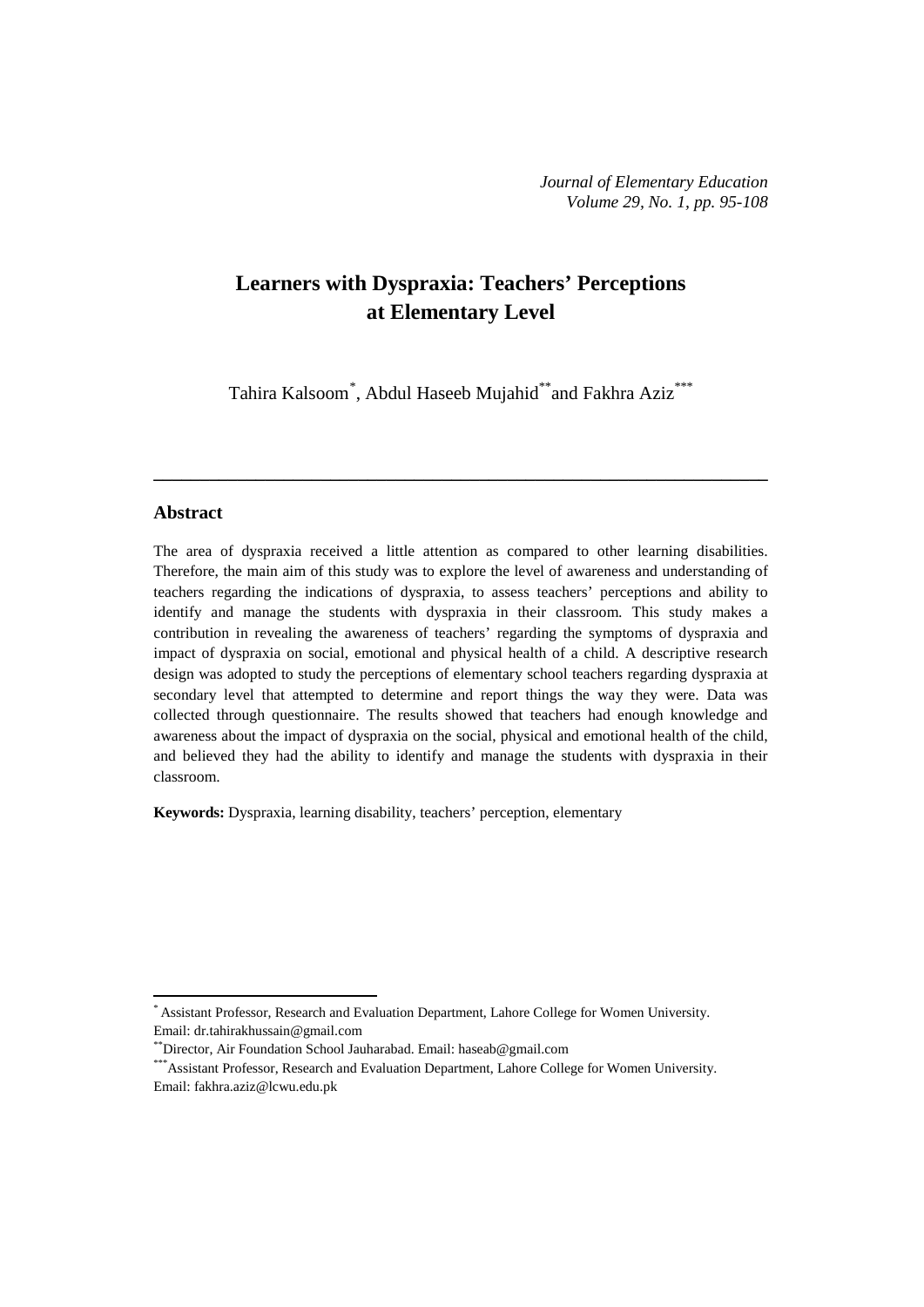# **Learners with Dyspraxia: Teachers' Perceptions at Elementary Level**

Tahira Kalsoom[\\*](#page-0-0) , Abdul Haseeb Mujahid\*\*and Fakhra Aziz\*\*\*

**\_\_\_\_\_\_\_\_\_\_\_\_\_\_\_\_\_\_\_\_\_\_\_\_\_\_\_\_\_\_\_\_\_\_\_\_\_\_\_\_\_\_\_\_\_\_\_\_\_\_\_\_\_\_\_\_\_\_\_\_\_\_\_\_\_\_**

## **Abstract**

**.** 

The area of dyspraxia received a little attention as compared to other learning disabilities. Therefore, the main aim of this study was to explore the level of awareness and understanding of teachers regarding the indications of dyspraxia, to assess teachers' perceptions and ability to identify and manage the students with dyspraxia in their classroom. This study makes a contribution in revealing the awareness of teachers' regarding the symptoms of dyspraxia and impact of dyspraxia on social, emotional and physical health of a child. A descriptive research design was adopted to study the perceptions of elementary school teachers regarding dyspraxia at secondary level that attempted to determine and report things the way they were. Data was collected through questionnaire. The results showed that teachers had enough knowledge and awareness about the impact of dyspraxia on the social, physical and emotional health of the child, and believed they had the ability to identify and manage the students with dyspraxia in their classroom.

**Keywords:** Dyspraxia, learning disability, teachers' perception, elementary

<span id="page-0-0"></span><sup>\*</sup> Assistant Professor, Research and Evaluation Department, Lahore College for Women University. Email: [dr.tahirakhussain@gmail.com](mailto:dr.tahirakhussain@gmail.com)

<sup>\*\*</sup>Director, Air Foundation School Jauharabad. Email: [haseab@gmail.com](mailto:haseab@gmail.com)

<sup>\*\*\*</sup>Assistant Professor, Research and Evaluation Department, Lahore College for Women University. Email: [fakhra.aziz@lcwu.edu.pk](mailto:fakhra.aziz@lcwu.edu.pk)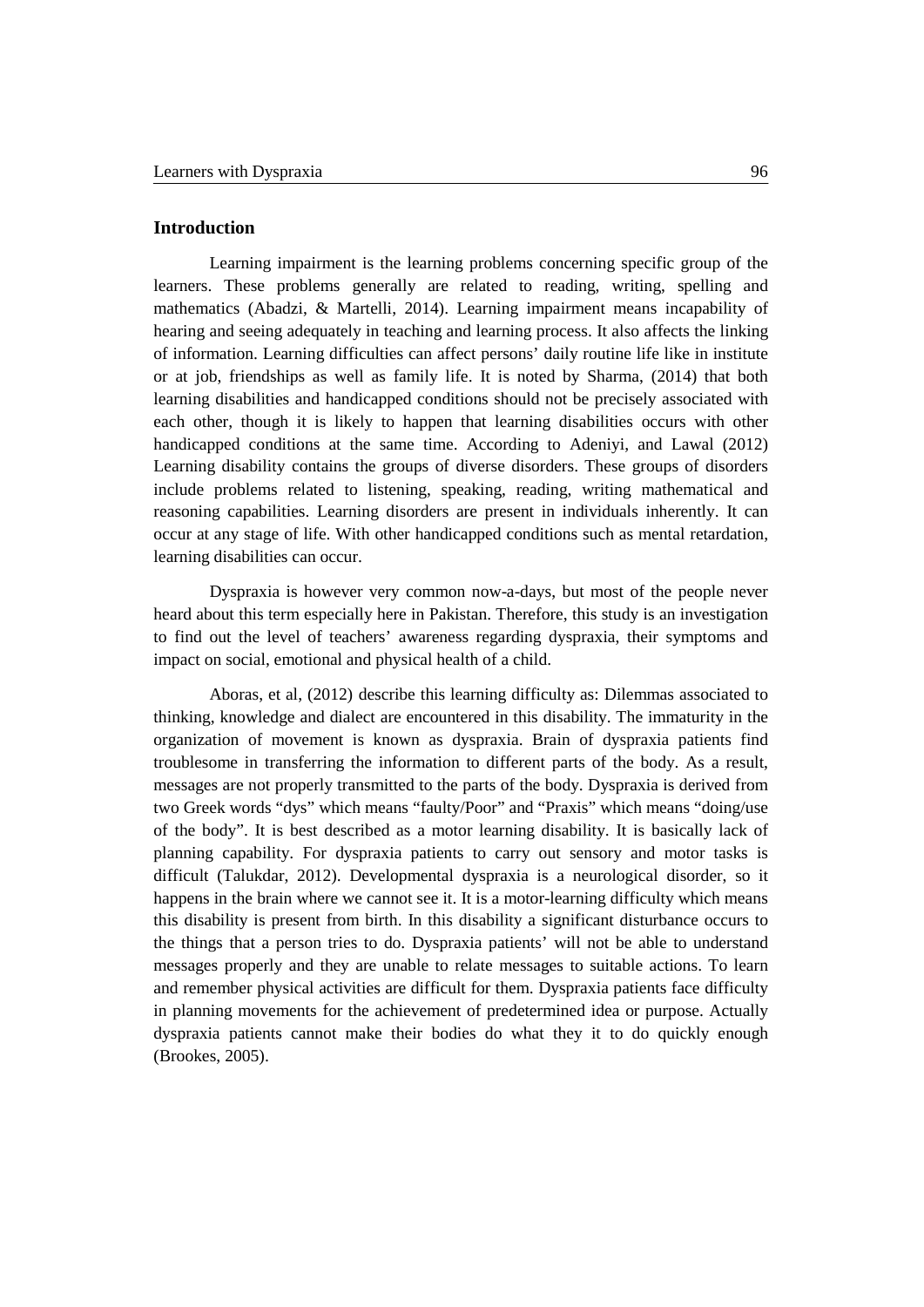## **Introduction**

Learning impairment is the learning problems concerning specific group of the learners. These problems generally are related to reading, writing, spelling and mathematics (Abadzi, & Martelli, 2014). Learning impairment means incapability of hearing and seeing adequately in teaching and learning process. It also affects the linking of information. Learning difficulties can affect persons' daily routine life like in institute or at job, friendships as well as family life. It is noted by Sharma, (2014) that both learning disabilities and handicapped conditions should not be precisely associated with each other, though it is likely to happen that learning disabilities occurs with other handicapped conditions at the same time. According to Adeniyi, and Lawal (2012) Learning disability contains the groups of diverse disorders. These groups of disorders include problems related to listening, speaking, reading, writing mathematical and reasoning capabilities. Learning disorders are present in individuals inherently. It can occur at any stage of life. With other handicapped conditions such as mental retardation, learning disabilities can occur.

Dyspraxia is however very common now-a-days, but most of the people never heard about this term especially here in Pakistan. Therefore, this study is an investigation to find out the level of teachers' awareness regarding dyspraxia, their symptoms and impact on social, emotional and physical health of a child.

Aboras, et al, (2012) describe this learning difficulty as: Dilemmas associated to thinking, knowledge and dialect are encountered in this disability. The immaturity in the organization of movement is known as dyspraxia. Brain of dyspraxia patients find troublesome in transferring the information to different parts of the body. As a result, messages are not properly transmitted to the parts of the body. Dyspraxia is derived from two Greek words "dys" which means "faulty/Poor" and "Praxis" which means "doing/use of the body". It is best described as a motor learning disability. It is basically lack of planning capability. For dyspraxia patients to carry out sensory and motor tasks is difficult (Talukdar, 2012). Developmental dyspraxia is a neurological disorder, so it happens in the brain where we cannot see it. It is a motor-learning difficulty which means this disability is present from birth. In this disability a significant disturbance occurs to the things that a person tries to do. Dyspraxia patients' will not be able to understand messages properly and they are unable to relate messages to suitable actions. To learn and remember physical activities are difficult for them. Dyspraxia patients face difficulty in planning movements for the achievement of predetermined idea or purpose. Actually dyspraxia patients cannot make their bodies do what they it to do quickly enough (Brookes, 2005).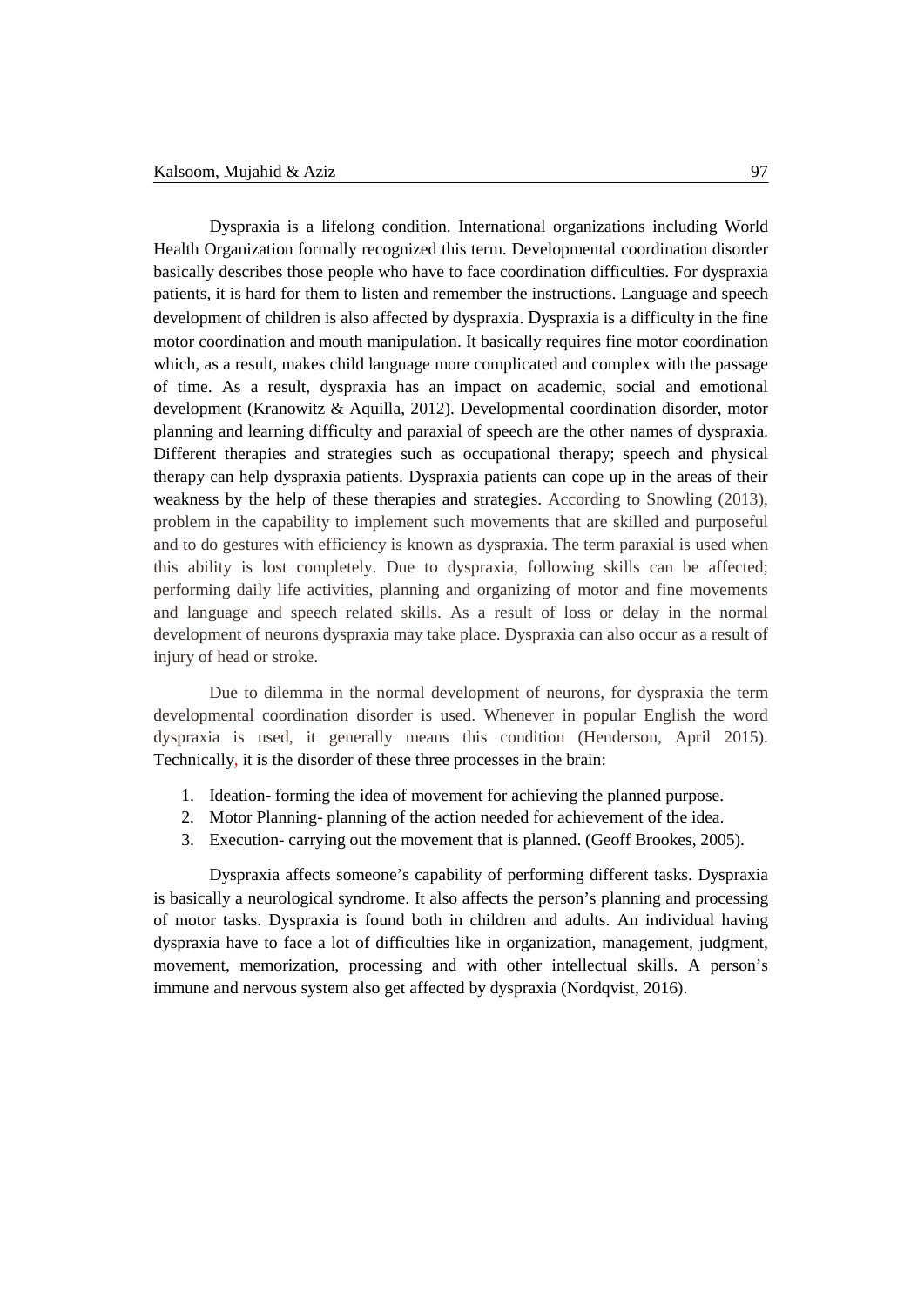Dyspraxia is a lifelong condition. International organizations including World Health Organization formally recognized this term. Developmental coordination disorder basically describes those people who have to face coordination difficulties. For dyspraxia patients, it is hard for them to listen and remember the instructions. Language and speech development of children is also affected by dyspraxia. Dyspraxia is a difficulty in the fine motor coordination and mouth manipulation. It basically requires fine motor coordination which, as a result, makes child language more complicated and complex with the passage of time. As a result, dyspraxia has an impact on academic, social and emotional development (Kranowitz & Aquilla, 2012). Developmental coordination disorder, motor planning and learning difficulty and paraxial of speech are the other names of dyspraxia. Different therapies and strategies such as occupational therapy; speech and physical therapy can help dyspraxia patients. Dyspraxia patients can cope up in the areas of their weakness by the help of these therapies and strategies. According to Snowling (2013), problem in the capability to implement such movements that are skilled and purposeful and to do gestures with efficiency is known as dyspraxia. The term paraxial is used when this ability is lost completely. Due to dyspraxia, following skills can be affected; performing daily life activities, planning and organizing of motor and fine movements and language and speech related skills. As a result of loss or delay in the normal development of neurons dyspraxia may take place. Dyspraxia can also occur as a result of injury of head or stroke.

Due to dilemma in the normal development of neurons, for dyspraxia the term developmental coordination disorder is used. Whenever in popular English the word dyspraxia is used, it generally means this condition (Henderson, April 2015). Technically, it is the disorder of these three processes in the brain:

- 1. Ideation- forming the idea of movement for achieving the planned purpose.
- 2. Motor Planning- planning of the action needed for achievement of the idea.
- 3. Execution- carrying out the movement that is planned. (Geoff Brookes, 2005).

Dyspraxia affects someone's capability of performing different tasks. Dyspraxia is basically a neurological syndrome. It also affects the person's planning and processing of motor tasks. Dyspraxia is found both in children and adults. An individual having dyspraxia have to face a lot of difficulties like in organization, management, judgment, movement, memorization, processing and with other intellectual skills. A person's immune and nervous system also get affected by dyspraxia (Nordqvist, 2016).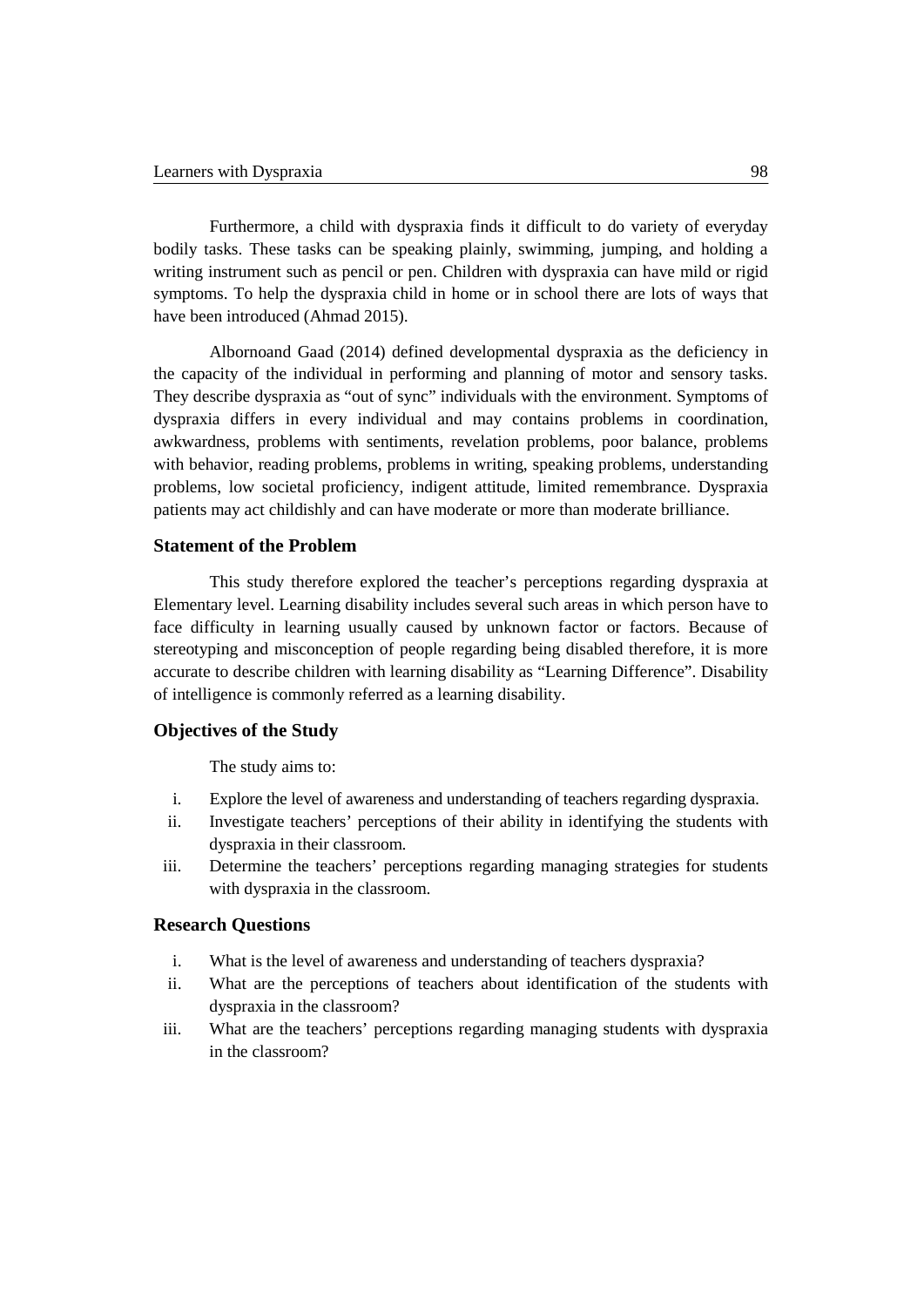Furthermore, a child with dyspraxia finds it difficult to do variety of everyday bodily tasks. These tasks can be speaking plainly, swimming, jumping, and holding a writing instrument such as pencil or pen. Children with dyspraxia can have mild or rigid symptoms. To help the dyspraxia child in home or in school there are lots of ways that have been introduced (Ahmad 2015).

Albornoand Gaad (2014) defined developmental dyspraxia as the deficiency in the capacity of the individual in performing and planning of motor and sensory tasks. They describe dyspraxia as "out of sync" individuals with the environment. Symptoms of dyspraxia differs in every individual and may contains problems in coordination, awkwardness, problems with sentiments, revelation problems, poor balance, problems with behavior, reading problems, problems in writing, speaking problems, understanding problems, low societal proficiency, indigent attitude, limited remembrance. Dyspraxia patients may act childishly and can have moderate or more than moderate brilliance.

# **Statement of the Problem**

This study therefore explored the teacher's perceptions regarding dyspraxia at Elementary level. Learning disability includes several such areas in which person have to face difficulty in learning usually caused by unknown factor or factors. Because of stereotyping and misconception of people regarding being disabled therefore, it is more accurate to describe children with learning disability as "Learning Difference". Disability of intelligence is commonly referred as a learning disability.

# **Objectives of the Study**

The study aims to:

- i. Explore the level of awareness and understanding of teachers regarding dyspraxia.
- ii. Investigate teachers' perceptions of their ability in identifying the students with dyspraxia in their classroom.
- iii. Determine the teachers' perceptions regarding managing strategies for students with dyspraxia in the classroom.

# **Research Questions**

- i. What is the level of awareness and understanding of teachers dyspraxia?
- ii. What are the perceptions of teachers about identification of the students with dyspraxia in the classroom?
- iii. What are the teachers' perceptions regarding managing students with dyspraxia in the classroom?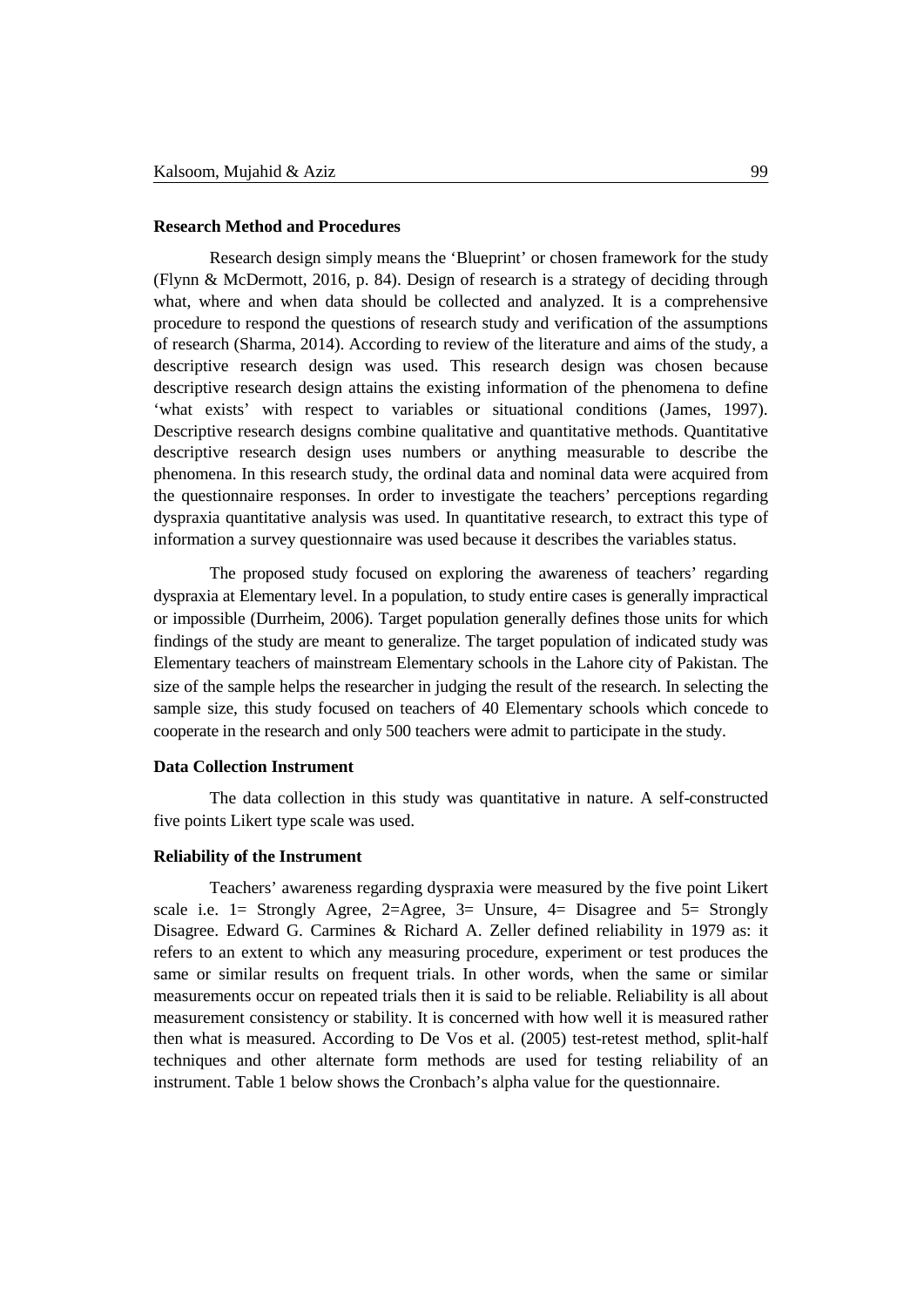### **Research Method and Procedures**

Research design simply means the 'Blueprint' or chosen framework for the study (Flynn & McDermott, 2016, p. 84). Design of research is a strategy of deciding through what, where and when data should be collected and analyzed. It is a comprehensive procedure to respond the questions of research study and verification of the assumptions of research (Sharma, 2014). According to review of the literature and aims of the study, a descriptive research design was used. This research design was chosen because descriptive research design attains the existing information of the phenomena to define 'what exists' with respect to variables or situational conditions (James, 1997). Descriptive research designs combine qualitative and quantitative methods. Quantitative descriptive research design uses numbers or anything measurable to describe the phenomena. In this research study, the ordinal data and nominal data were acquired from the questionnaire responses. In order to investigate the teachers' perceptions regarding dyspraxia quantitative analysis was used. In quantitative research, to extract this type of information a survey questionnaire was used because it describes the variables status.

The proposed study focused on exploring the awareness of teachers' regarding dyspraxia at Elementary level. In a population, to study entire cases is generally impractical or impossible (Durrheim, 2006). Target population generally defines those units for which findings of the study are meant to generalize. The target population of indicated study was Elementary teachers of mainstream Elementary schools in the Lahore city of Pakistan. The size of the sample helps the researcher in judging the result of the research. In selecting the sample size, this study focused on teachers of 40 Elementary schools which concede to cooperate in the research and only 500 teachers were admit to participate in the study.

#### **Data Collection Instrument**

The data collection in this study was quantitative in nature. A self-constructed five points Likert type scale was used.

# **Reliability of the Instrument**

Teachers' awareness regarding dyspraxia were measured by the five point Likert scale i.e. 1 = Strongly Agree, 2=Agree, 3 = Unsure, 4 = Disagree and 5 = Strongly Disagree. Edward G. Carmines & Richard A. Zeller defined reliability in 1979 as: it refers to an extent to which any measuring procedure, experiment or test produces the same or similar results on frequent trials. In other words, when the same or similar measurements occur on repeated trials then it is said to be reliable. Reliability is all about measurement consistency or stability. It is concerned with how well it is measured rather then what is measured. According to De Vos et al. (2005) test-retest method, split-half techniques and other alternate form methods are used for testing reliability of an instrument. Table 1 below shows the Cronbach's alpha value for the questionnaire.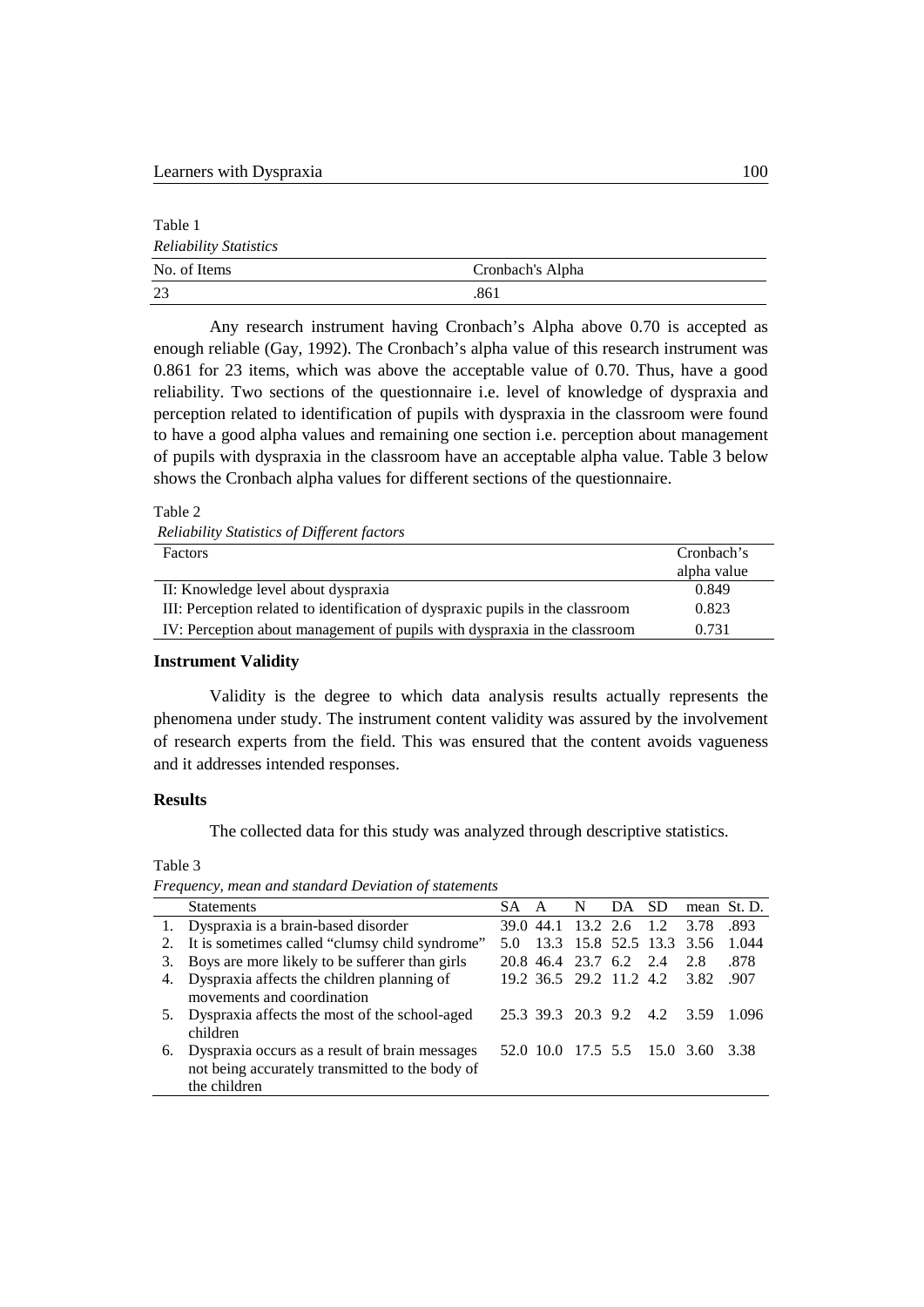Table 1 *Reliability Statistics* No. of Items Cronbach's Alpha 23 .861

Any research instrument having Cronbach's Alpha above 0.70 is accepted as enough reliable (Gay, 1992). The Cronbach's alpha value of this research instrument was 0.861 for 23 items, which was above the acceptable value of 0.70. Thus, have a good reliability. Two sections of the questionnaire i.e. level of knowledge of dyspraxia and perception related to identification of pupils with dyspraxia in the classroom were found to have a good alpha values and remaining one section i.e. perception about management of pupils with dyspraxia in the classroom have an acceptable alpha value. Table 3 below shows the Cronbach alpha values for different sections of the questionnaire.

Table 2

| Reliability Statistics of Different factors |  |  |  |
|---------------------------------------------|--|--|--|
|---------------------------------------------|--|--|--|

| <b>Factors</b>                                                                 | Cronbach's  |
|--------------------------------------------------------------------------------|-------------|
|                                                                                | alpha value |
| II: Knowledge level about dyspraxia                                            | 0.849       |
| III: Perception related to identification of dyspraxic pupils in the classroom | 0.823       |
| IV: Perception about management of pupils with dyspraxia in the classroom      | 0.731       |

#### **Instrument Validity**

Validity is the degree to which data analysis results actually represents the phenomena under study. The instrument content validity was assured by the involvement of research experts from the field. This was ensured that the content avoids vagueness and it addresses intended responses.

## **Results**

The collected data for this study was analyzed through descriptive statistics.

Table 3

*Frequency, mean and standard Deviation of statements*

|    | <b>Statements</b>                                 | SA A | $\mathbf N$            | DA | SD.                          | mean St. D. |        |
|----|---------------------------------------------------|------|------------------------|----|------------------------------|-------------|--------|
|    | 1. Dyspraxia is a brain-based disorder            |      |                        |    | 39.0 44.1 13.2 2.6 1.2       | 3.78        | .893   |
|    | 2. It is sometimes called "clumsy child syndrome" |      |                        |    | 13.3 15.8 52.5 13.3 3.56     |             | 1.044  |
| 3. | Boys are more likely to be sufferer than girls    |      | 20.8 46.4 23.7 6.2 2.4 |    |                              | 2.8         | .878   |
|    | 4. Dyspraxia affects the children planning of     |      |                        |    | 19.2 36.5 29.2 11.2 4.2 3.82 |             | .907   |
|    | movements and coordination                        |      |                        |    |                              |             |        |
|    | 5. Dyspraxia affects the most of the school-aged  |      |                        |    | 25.3 39.3 20.3 9.2 4.2 3.59  |             | -1.096 |
|    | children                                          |      |                        |    |                              |             |        |
|    | 6. Dyspraxia occurs as a result of brain messages |      |                        |    | 52.0 10.0 17.5 5.5 15.0 3.60 |             | 3.38   |
|    | not being accurately transmitted to the body of   |      |                        |    |                              |             |        |
|    | the children                                      |      |                        |    |                              |             |        |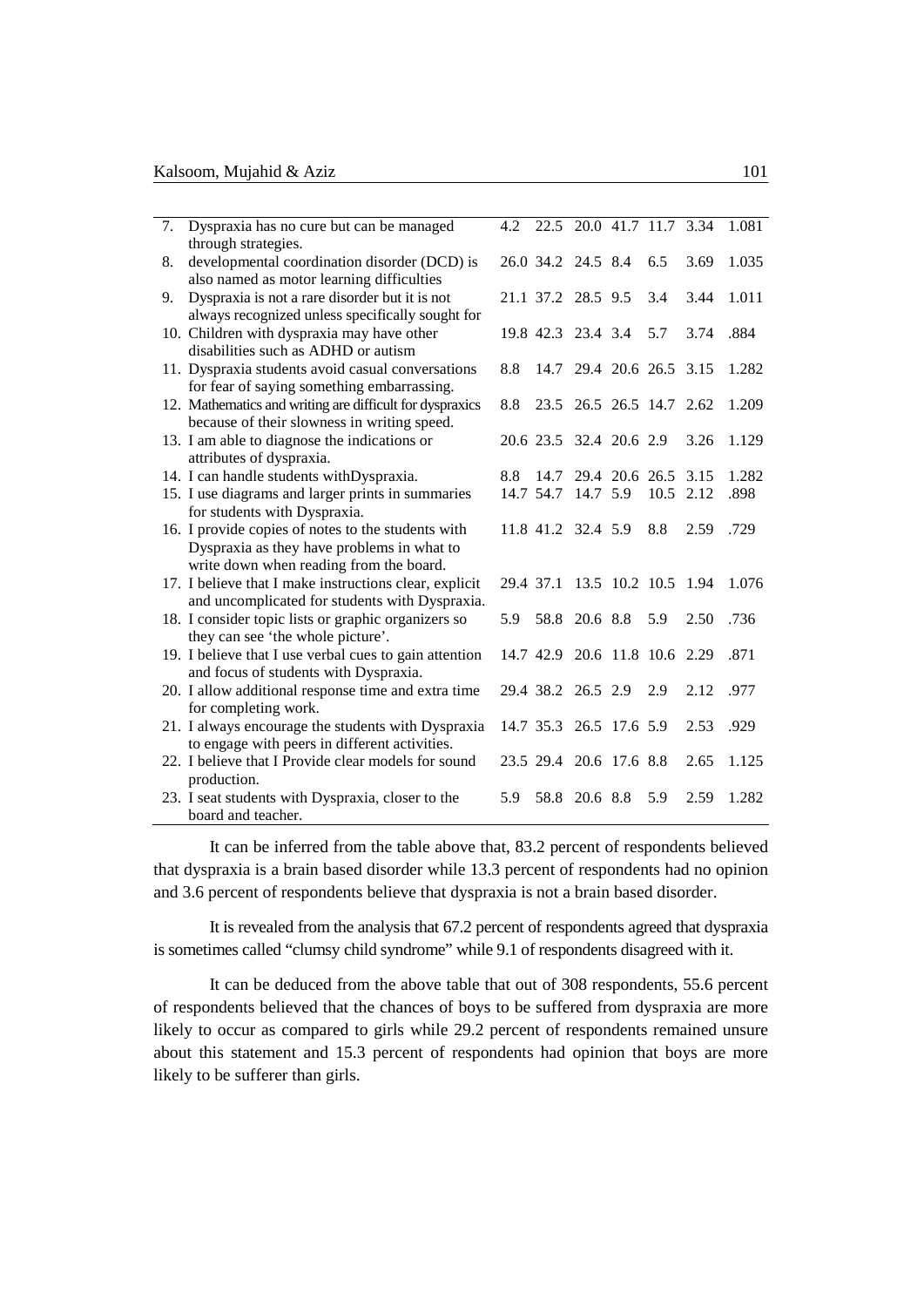| 7. | Dyspraxia has no cure but can be managed                                                                 | 4.2 |                               |               | 22.5 20.0 41.7 11.7 3.34 |      | 1.081 |
|----|----------------------------------------------------------------------------------------------------------|-----|-------------------------------|---------------|--------------------------|------|-------|
|    | through strategies.                                                                                      |     |                               |               |                          |      |       |
| 8. | developmental coordination disorder (DCD) is<br>also named as motor learning difficulties                |     | 26.0 34.2 24.5 8.4            |               | 6.5                      | 3.69 | 1.035 |
| 9. | Dyspraxia is not a rare disorder but it is not                                                           |     | 21.1 37.2 28.5 9.5            |               | 3.4                      | 3.44 | 1.011 |
|    | always recognized unless specifically sought for                                                         |     |                               |               |                          |      |       |
|    | 10. Children with dyspraxia may have other                                                               |     | 19.8 42.3 23.4 3.4            |               | 5.7                      | 3.74 | .884  |
|    | disabilities such as ADHD or autism                                                                      |     |                               |               |                          |      |       |
|    | 11. Dyspraxia students avoid casual conversations                                                        | 8.8 |                               |               | 14.7 29.4 20.6 26.5 3.15 |      | 1.282 |
|    | for fear of saying something embarrassing.                                                               |     |                               |               |                          |      |       |
|    | 12. Mathematics and writing are difficult for dyspraxics<br>because of their slowness in writing speed.  | 8.8 |                               |               | 23.5 26.5 26.5 14.7 2.62 |      | 1.209 |
|    | 13. I am able to diagnose the indications or                                                             |     | 20.6 23.5 32.4 20.6 2.9       |               |                          | 3.26 | 1.129 |
|    | attributes of dyspraxia.                                                                                 |     |                               |               |                          |      |       |
|    | 14. I can handle students withDyspraxia.                                                                 | 8.8 | 14.7                          |               | 29.4 20.6 26.5 3.15      |      | 1.282 |
|    | 15. I use diagrams and larger prints in summaries                                                        |     | 14.7 54.7                     | 14.7 5.9      | 10.5 2.12                |      | .898  |
|    | for students with Dyspraxia.                                                                             |     |                               |               |                          |      |       |
|    | 16. I provide copies of notes to the students with                                                       |     | 11.8 41.2 32.4 5.9            |               | 8.8                      | 2.59 | .729  |
|    | Dyspraxia as they have problems in what to                                                               |     |                               |               |                          |      |       |
|    | write down when reading from the board.                                                                  |     |                               |               |                          |      |       |
|    | 17. I believe that I make instructions clear, explicit<br>and uncomplicated for students with Dyspraxia. |     | 29.4 37.1 13.5 10.2 10.5 1.94 |               |                          |      | 1.076 |
|    | 18. I consider topic lists or graphic organizers so                                                      | 5.9 |                               | 58.8 20.6 8.8 | 5.9                      | 2.50 | .736  |
|    | they can see 'the whole picture'.                                                                        |     |                               |               |                          |      |       |
|    | 19. I believe that I use verbal cues to gain attention                                                   |     | 14.7 42.9 20.6 11.8 10.6 2.29 |               |                          |      | .871  |
|    | and focus of students with Dyspraxia.                                                                    |     |                               |               |                          |      |       |
|    | 20. I allow additional response time and extra time                                                      |     | 29.4 38.2 26.5 2.9            |               | 2.9                      | 2.12 | .977  |
|    | for completing work.                                                                                     |     |                               |               |                          |      |       |
|    | 21. I always encourage the students with Dyspraxia                                                       |     | 14.7 35.3 26.5 17.6 5.9       |               |                          | 2.53 | .929  |
|    | to engage with peers in different activities.                                                            |     |                               |               |                          |      |       |
|    | 22. I believe that I Provide clear models for sound                                                      |     | 23.5 29.4 20.6 17.6 8.8       |               |                          | 2.65 | 1.125 |
|    | production.                                                                                              |     |                               |               |                          |      |       |
|    | 23. I seat students with Dyspraxia, closer to the                                                        | 5.9 |                               | 58.8 20.6 8.8 | 5.9                      | 2.59 | 1.282 |
|    | board and teacher.                                                                                       |     |                               |               |                          |      |       |

It can be inferred from the table above that, 83.2 percent of respondents believed that dyspraxia is a brain based disorder while 13.3 percent of respondents had no opinion and 3.6 percent of respondents believe that dyspraxia is not a brain based disorder.

It is revealed from the analysis that 67.2 percent of respondents agreed that dyspraxia is sometimes called "clumsy child syndrome" while 9.1 of respondents disagreed with it.

It can be deduced from the above table that out of 308 respondents, 55.6 percent of respondents believed that the chances of boys to be suffered from dyspraxia are more likely to occur as compared to girls while 29.2 percent of respondents remained unsure about this statement and 15.3 percent of respondents had opinion that boys are more likely to be sufferer than girls.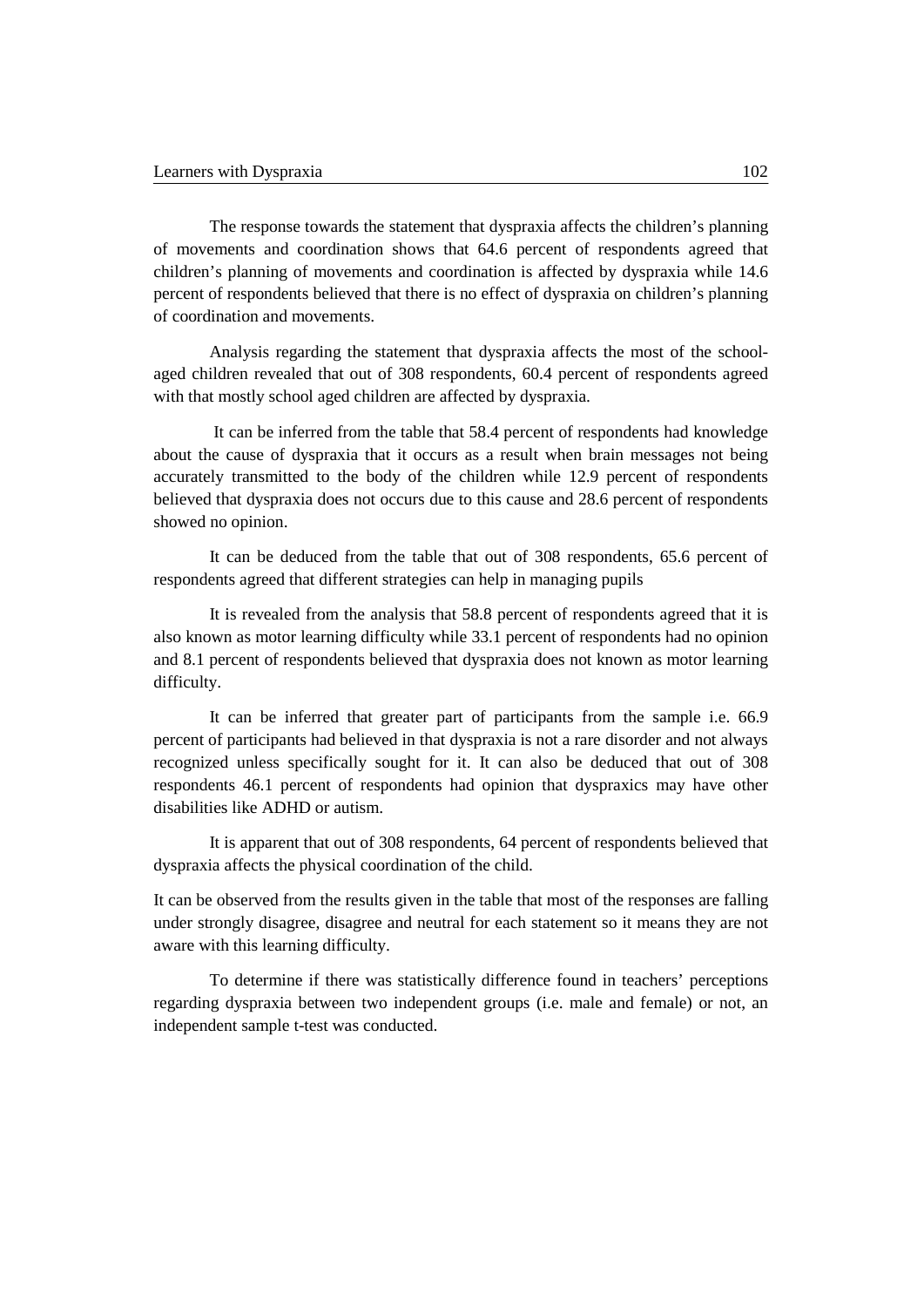The response towards the statement that dyspraxia affects the children's planning of movements and coordination shows that 64.6 percent of respondents agreed that children's planning of movements and coordination is affected by dyspraxia while 14.6 percent of respondents believed that there is no effect of dyspraxia on children's planning of coordination and movements.

Analysis regarding the statement that dyspraxia affects the most of the schoolaged children revealed that out of 308 respondents, 60.4 percent of respondents agreed with that mostly school aged children are affected by dyspraxia.

It can be inferred from the table that 58.4 percent of respondents had knowledge about the cause of dyspraxia that it occurs as a result when brain messages not being accurately transmitted to the body of the children while 12.9 percent of respondents believed that dyspraxia does not occurs due to this cause and 28.6 percent of respondents showed no opinion.

It can be deduced from the table that out of 308 respondents, 65.6 percent of respondents agreed that different strategies can help in managing pupils

It is revealed from the analysis that 58.8 percent of respondents agreed that it is also known as motor learning difficulty while 33.1 percent of respondents had no opinion and 8.1 percent of respondents believed that dyspraxia does not known as motor learning difficulty.

It can be inferred that greater part of participants from the sample i.e. 66.9 percent of participants had believed in that dyspraxia is not a rare disorder and not always recognized unless specifically sought for it. It can also be deduced that out of 308 respondents 46.1 percent of respondents had opinion that dyspraxics may have other disabilities like ADHD or autism.

It is apparent that out of 308 respondents, 64 percent of respondents believed that dyspraxia affects the physical coordination of the child.

It can be observed from the results given in the table that most of the responses are falling under strongly disagree, disagree and neutral for each statement so it means they are not aware with this learning difficulty.

To determine if there was statistically difference found in teachers' perceptions regarding dyspraxia between two independent groups (i.e. male and female) or not, an independent sample t-test was conducted.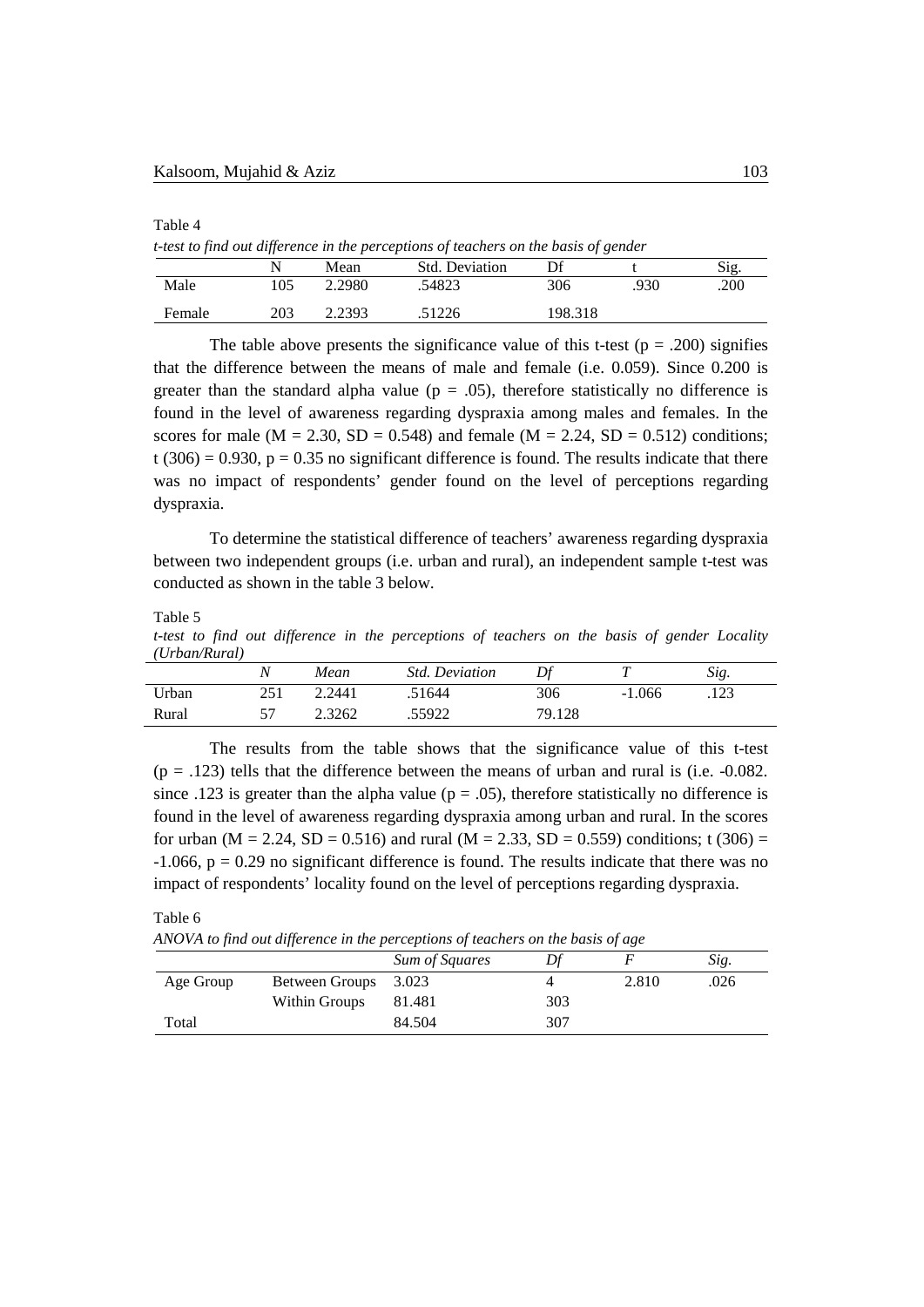Table 4

*t-test to find out difference in the perceptions of teachers on the basis of gender*

|        |     | Mean   | <b>Std. Deviation</b> | Df      |      | Sig. |
|--------|-----|--------|-----------------------|---------|------|------|
| Male   | .05 | 2.2980 | .54823                | 306     | .930 | .200 |
| Female | 203 | 2.2393 | .51226                | 198.318 |      |      |

The table above presents the significance value of this t-test ( $p = .200$ ) signifies that the difference between the means of male and female (i.e. 0.059). Since 0.200 is greater than the standard alpha value ( $p = .05$ ), therefore statistically no difference is found in the level of awareness regarding dyspraxia among males and females. In the scores for male ( $M = 2.30$ ,  $SD = 0.548$ ) and female ( $M = 2.24$ ,  $SD = 0.512$ ) conditions;  $t$  (306) = 0.930,  $p = 0.35$  no significant difference is found. The results indicate that there was no impact of respondents' gender found on the level of perceptions regarding dyspraxia.

To determine the statistical difference of teachers' awareness regarding dyspraxia between two independent groups (i.e. urban and rural), an independent sample t-test was conducted as shown in the table 3 below.

Table 5

*t-test to find out difference in the perceptions of teachers on the basis of gender Locality (Urban/Rural)*

|       | N   | Mean   | <i>Std. Deviation</i> | Df     |          | Sig. |
|-------|-----|--------|-----------------------|--------|----------|------|
| Urban | 251 | 2.2441 | .51644                | 306    | $-1.066$ | .123 |
| Rural |     | 2.3262 | .55922                | 79.128 |          |      |

The results from the table shows that the significance value of this t-test  $(p = .123)$  tells that the difference between the means of urban and rural is (i.e.  $-0.082$ ). since .123 is greater than the alpha value ( $p = .05$ ), therefore statistically no difference is found in the level of awareness regarding dyspraxia among urban and rural. In the scores for urban ( $M = 2.24$ ,  $SD = 0.516$ ) and rural ( $M = 2.33$ ,  $SD = 0.559$ ) conditions; t (306) =  $-1.066$ ,  $p = 0.29$  no significant difference is found. The results indicate that there was no impact of respondents' locality found on the level of perceptions regarding dyspraxia.

Table 6

*ANOVA to find out difference in the perceptions of teachers on the basis of age*

|           | .                    |                |     |       |      |
|-----------|----------------------|----------------|-----|-------|------|
|           |                      | Sum of Squares |     |       | Sig. |
| Age Group | Between Groups 3.023 |                |     | 2.810 | .026 |
|           | Within Groups        | 81.481         | 303 |       |      |
| Total     |                      | 84.504         | 307 |       |      |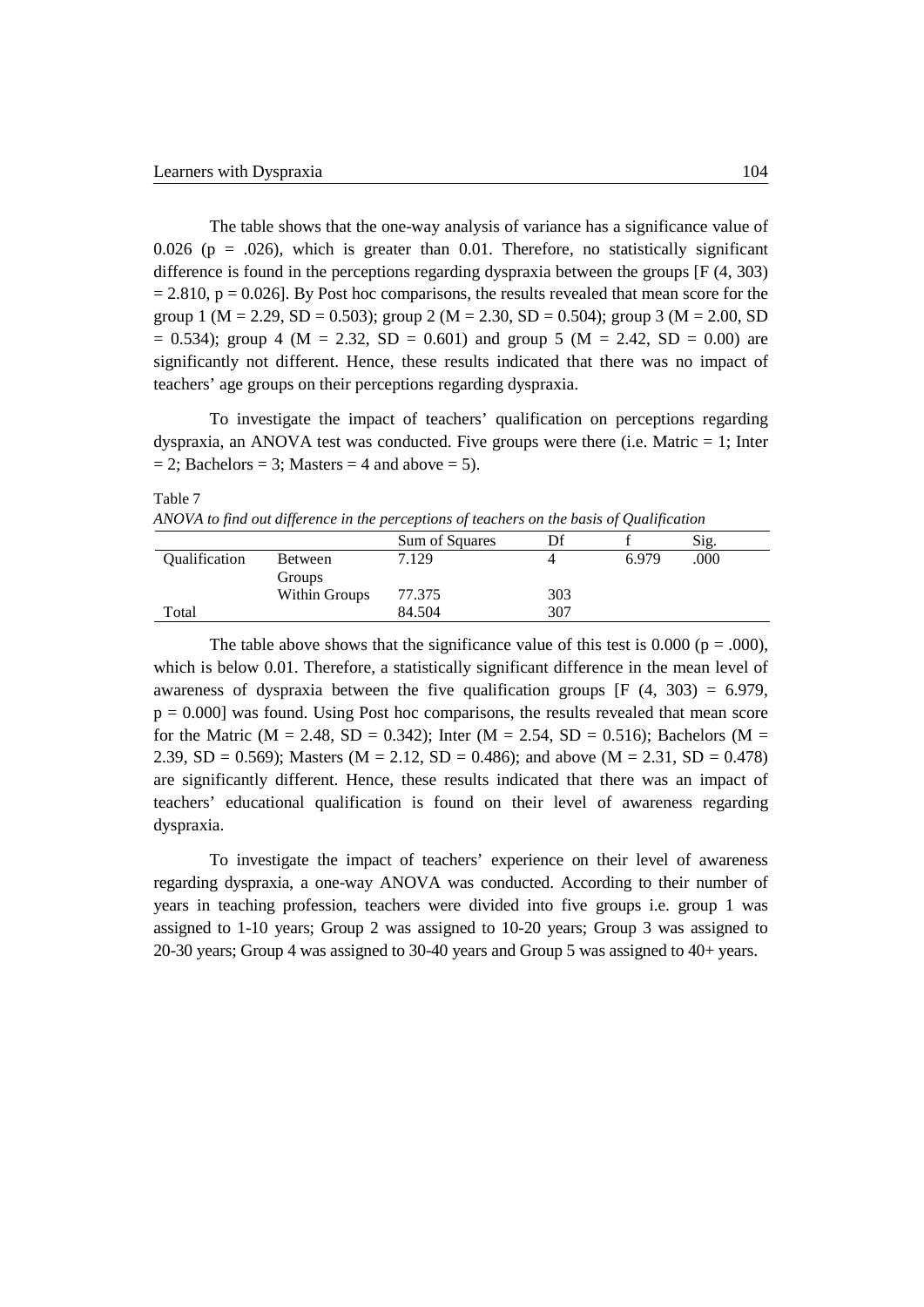The table shows that the one-way analysis of variance has a significance value of 0.026 ( $p = 0.026$ ), which is greater than 0.01. Therefore, no statistically significant difference is found in the perceptions regarding dyspraxia between the groups [F (4, 303)  $= 2.810$ ,  $p = 0.026$ ]. By Post hoc comparisons, the results revealed that mean score for the group 1 (M = 2.29, SD = 0.503); group 2 (M = 2.30, SD = 0.504); group 3 (M = 2.00, SD  $= 0.534$ ; group 4 (M = 2.32, SD = 0.601) and group 5 (M = 2.42, SD = 0.00) are significantly not different. Hence, these results indicated that there was no impact of teachers' age groups on their perceptions regarding dyspraxia.

To investigate the impact of teachers' qualification on perceptions regarding dyspraxia, an ANOVA test was conducted. Five groups were there (i.e. Matric = 1; Inter  $= 2$ ; Bachelors  $= 3$ ; Masters  $= 4$  and above  $= 5$ ).

#### Table 7

*ANOVA to find out difference in the perceptions of teachers on the basis of Qualification*

|                             |                                 | Sum of Squares | Df  |       | Sig. |
|-----------------------------|---------------------------------|----------------|-----|-------|------|
| <i><b>Oualification</b></i> | <b>Between</b><br><b>Groups</b> | 7.129          |     | 6.979 | .000 |
|                             | Within Groups                   | 77.375         | 303 |       |      |
| Total                       |                                 | 84.504         | 307 |       |      |

The table above shows that the significance value of this test is 0.000 ( $p = .000$ ), which is below 0.01. Therefore, a statistically significant difference in the mean level of awareness of dyspraxia between the five qualification groups  $[F (4, 303) = 6.979,$  $p = 0.000$ ] was found. Using Post hoc comparisons, the results revealed that mean score for the Matric (M = 2.48, SD = 0.342); Inter (M = 2.54, SD = 0.516); Bachelors (M = 2.39, SD = 0.569); Masters (M = 2.12, SD = 0.486); and above (M = 2.31, SD = 0.478) are significantly different. Hence, these results indicated that there was an impact of teachers' educational qualification is found on their level of awareness regarding dyspraxia.

To investigate the impact of teachers' experience on their level of awareness regarding dyspraxia, a one-way ANOVA was conducted. According to their number of years in teaching profession, teachers were divided into five groups i.e. group 1 was assigned to 1-10 years; Group 2 was assigned to 10-20 years; Group 3 was assigned to 20-30 years; Group 4 was assigned to 30-40 years and Group 5 was assigned to 40+ years.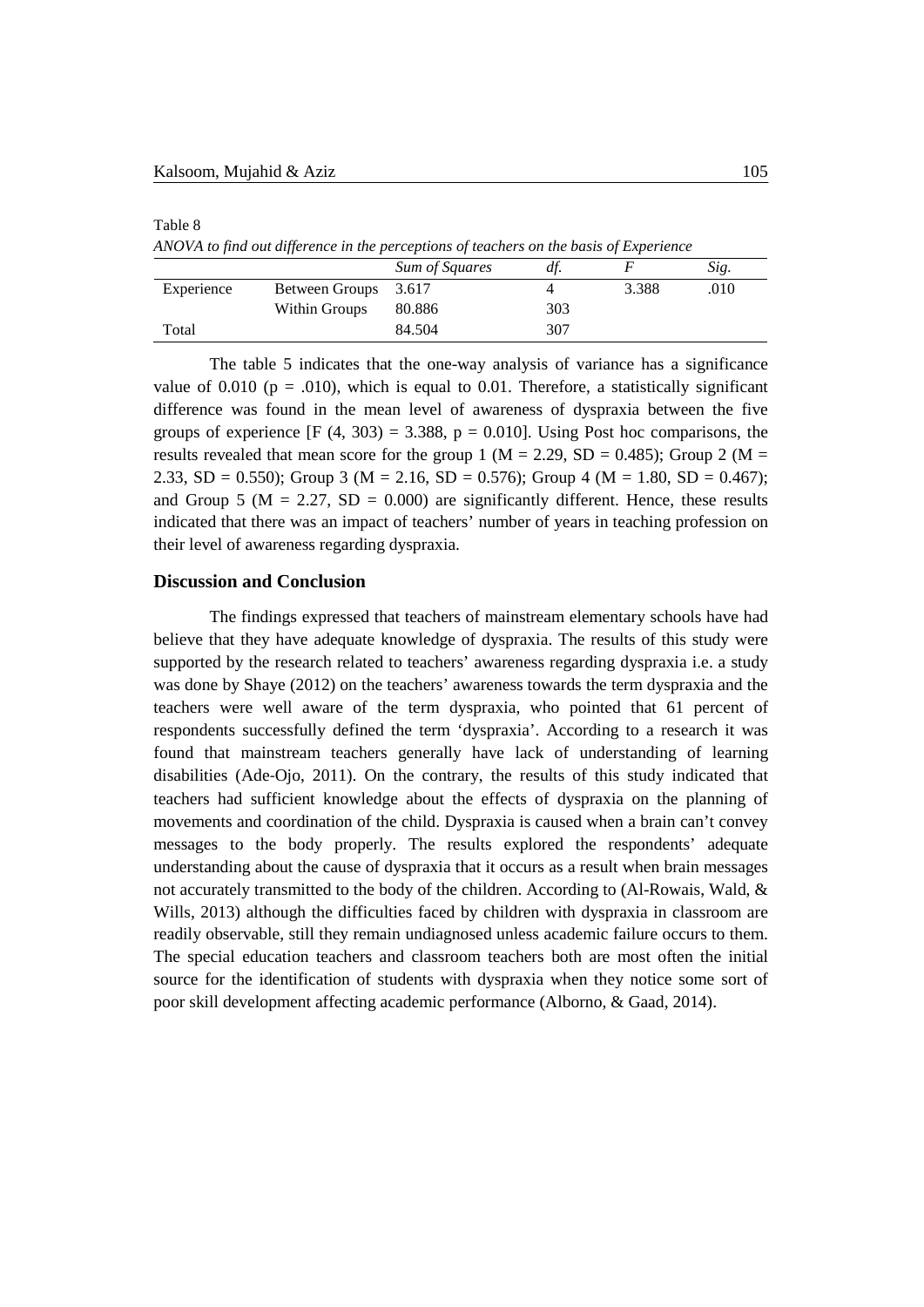Table 8 *ANOVA to find out difference in the perceptions of teachers on the basis of Experience*

|            |                      | Sum of Squares | df. |       | Sig. |
|------------|----------------------|----------------|-----|-------|------|
| Experience | Between Groups 3.617 |                |     | 3.388 | .010 |
|            | Within Groups        | 80.886         | 303 |       |      |
| Total      |                      | 84.504         | 307 |       |      |

The table 5 indicates that the one-way analysis of variance has a significance value of 0.010 ( $p = .010$ ), which is equal to 0.01. Therefore, a statistically significant difference was found in the mean level of awareness of dyspraxia between the five groups of experience  $[F (4, 303) = 3.388, p = 0.010]$ . Using Post hoc comparisons, the results revealed that mean score for the group 1 ( $M = 2.29$ , SD = 0.485); Group 2 ( $M =$ 2.33, SD = 0.550); Group 3 (M = 2.16, SD = 0.576); Group 4 (M = 1.80, SD = 0.467); and Group 5 ( $M = 2.27$ ,  $SD = 0.000$ ) are significantly different. Hence, these results indicated that there was an impact of teachers' number of years in teaching profession on their level of awareness regarding dyspraxia.

## **Discussion and Conclusion**

The findings expressed that teachers of mainstream elementary schools have had believe that they have adequate knowledge of dyspraxia. The results of this study were supported by the research related to teachers' awareness regarding dyspraxia i.e. a study was done by Shaye (2012) on the teachers' awareness towards the term dyspraxia and the teachers were well aware of the term dyspraxia, who pointed that 61 percent of respondents successfully defined the term 'dyspraxia'. According to a research it was found that mainstream teachers generally have lack of understanding of learning disabilities (Ade‐Ojo, 2011). On the contrary, the results of this study indicated that teachers had sufficient knowledge about the effects of dyspraxia on the planning of movements and coordination of the child. Dyspraxia is caused when a brain can't convey messages to the body properly. The results explored the respondents' adequate understanding about the cause of dyspraxia that it occurs as a result when brain messages not accurately transmitted to the body of the children. According to (Al-Rowais, Wald, & Wills, 2013) although the difficulties faced by children with dyspraxia in classroom are readily observable, still they remain undiagnosed unless academic failure occurs to them. The special education teachers and classroom teachers both are most often the initial source for the identification of students with dyspraxia when they notice some sort of poor skill development affecting academic performance (Alborno, & Gaad, 2014).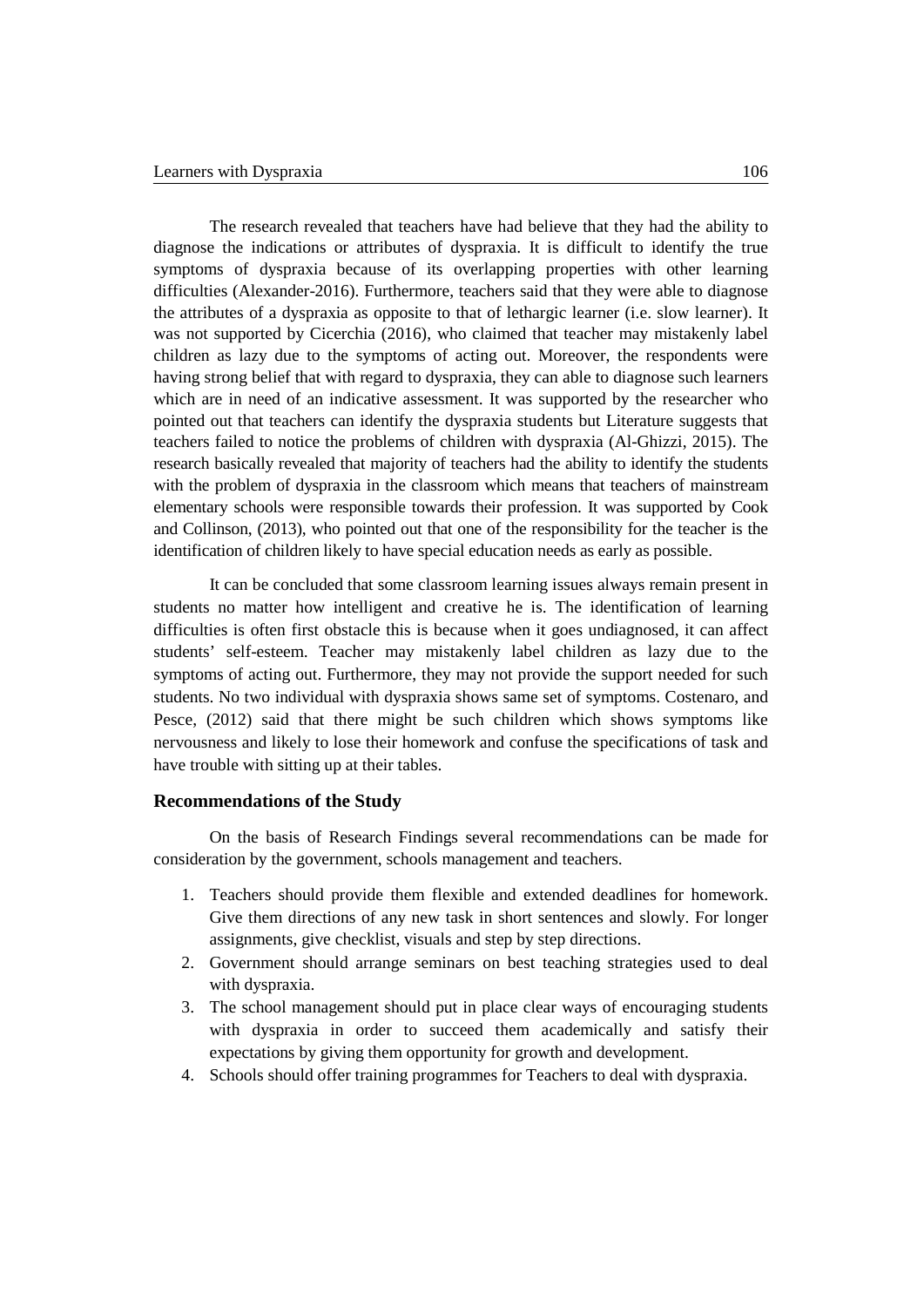The research revealed that teachers have had believe that they had the ability to diagnose the indications or attributes of dyspraxia. It is difficult to identify the true symptoms of dyspraxia because of its overlapping properties with other learning difficulties (Alexander-2016). Furthermore, teachers said that they were able to diagnose the attributes of a dyspraxia as opposite to that of lethargic learner (i.e. slow learner). It was not supported by Cicerchia (2016), who claimed that teacher may mistakenly label children as lazy due to the symptoms of acting out. Moreover, the respondents were having strong belief that with regard to dyspraxia, they can able to diagnose such learners which are in need of an indicative assessment. It was supported by the researcher who pointed out that teachers can identify the dyspraxia students but Literature suggests that teachers failed to notice the problems of children with dyspraxia (Al-Ghizzi, 2015). The research basically revealed that majority of teachers had the ability to identify the students with the problem of dyspraxia in the classroom which means that teachers of mainstream elementary schools were responsible towards their profession. It was supported by Cook and Collinson, (2013), who pointed out that one of the responsibility for the teacher is the identification of children likely to have special education needs as early as possible.

It can be concluded that some classroom learning issues always remain present in students no matter how intelligent and creative he is. The identification of learning difficulties is often first obstacle this is because when it goes undiagnosed, it can affect students' self-esteem. Teacher may mistakenly label children as lazy due to the symptoms of acting out. Furthermore, they may not provide the support needed for such students. No two individual with dyspraxia shows same set of symptoms. Costenaro, and Pesce, (2012) said that there might be such children which shows symptoms like nervousness and likely to lose their homework and confuse the specifications of task and have trouble with sitting up at their tables.

### **Recommendations of the Study**

On the basis of Research Findings several recommendations can be made for consideration by the government, schools management and teachers.

- 1. Teachers should provide them flexible and extended deadlines for homework. Give them directions of any new task in short sentences and slowly. For longer assignments, give checklist, visuals and step by step directions.
- 2. Government should arrange seminars on best teaching strategies used to deal with dyspraxia.
- 3. The school management should put in place clear ways of encouraging students with dyspraxia in order to succeed them academically and satisfy their expectations by giving them opportunity for growth and development.
- 4. Schools should offer training programmes for Teachers to deal with dyspraxia.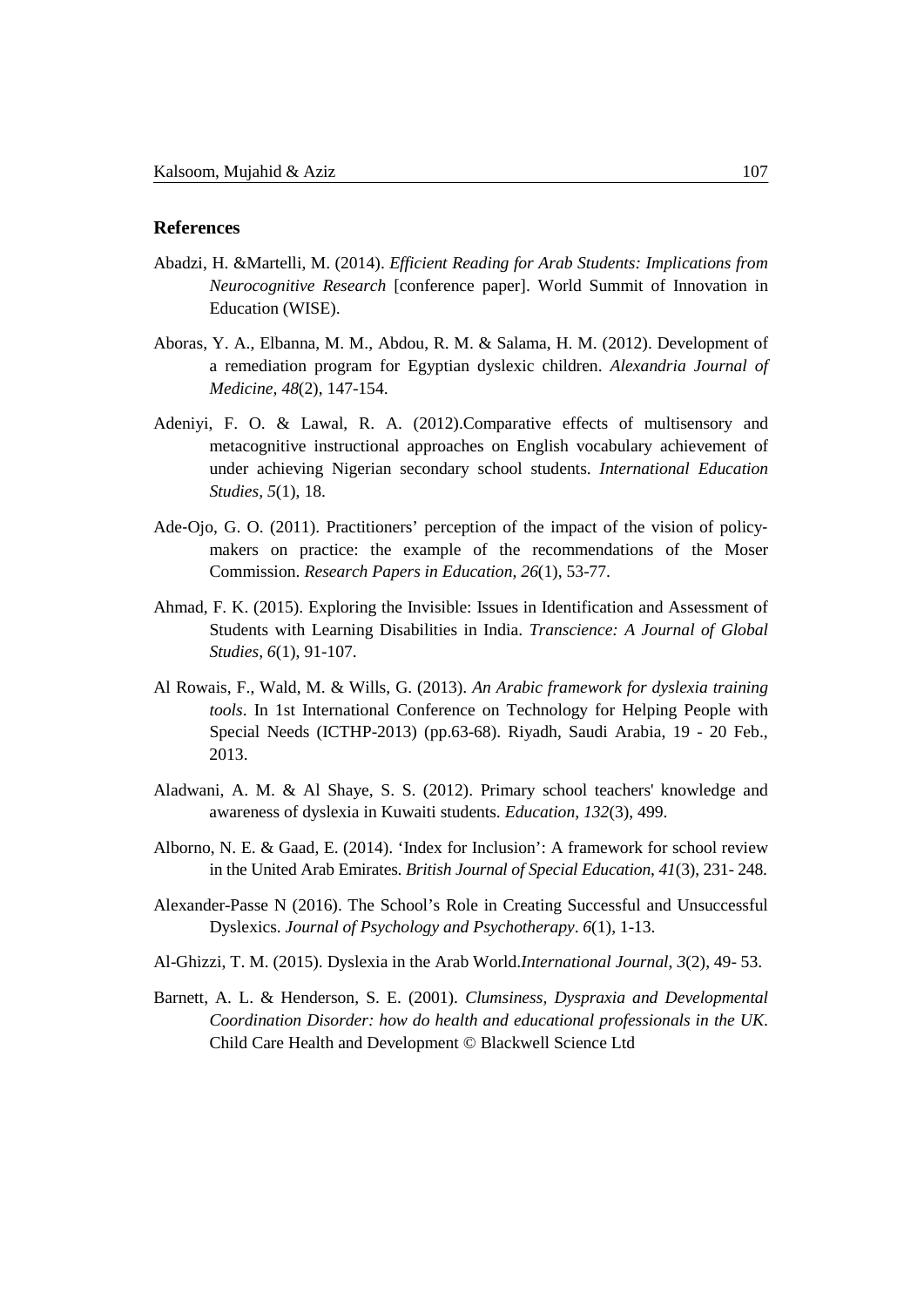## **References**

- Abadzi, H. &Martelli, M. (2014). *Efficient Reading for Arab Students: Implications from Neurocognitive Research* [conference paper]. World Summit of Innovation in Education (WISE).
- Aboras, Y. A., Elbanna, M. M., Abdou, R. M. & Salama, H. M. (2012). Development of a remediation program for Egyptian dyslexic children. *Alexandria Journal of Medicine, 48*(2), 147-154.
- Adeniyi, F. O. & Lawal, R. A. (2012).Comparative effects of multisensory and metacognitive instructional approaches on English vocabulary achievement of under achieving Nigerian secondary school students. *International Education Studies, 5*(1), 18.
- Ade-Ojo, G. O. (2011). Practitioners' perception of the impact of the vision of policymakers on practice: the example of the recommendations of the Moser Commission. *Research Papers in Education, 26*(1), 53-77.
- Ahmad, F. K. (2015). Exploring the Invisible: Issues in Identification and Assessment of Students with Learning Disabilities in India. *Transcience: A Journal of Global Studies, 6*(1), 91-107.
- Al Rowais, F., Wald, M. & Wills, G. (2013). *An Arabic framework for dyslexia training tools*. In 1st International Conference on Technology for Helping People with Special Needs (ICTHP-2013) (pp.63-68). Riyadh, Saudi Arabia, 19 - 20 Feb., 2013.
- Aladwani, A. M. & Al Shaye, S. S. (2012). Primary school teachers' knowledge and awareness of dyslexia in Kuwaiti students. *Education, 132*(3), 499.
- Alborno, N. E. & Gaad, E. (2014). 'Index for Inclusion': A framework for school review in the United Arab Emirates. *British Journal of Special Education*, *41*(3), 231- 248.
- Alexander-Passe N (2016). The School's Role in Creating Successful and Unsuccessful Dyslexics. *Journal of Psychology and Psychotherapy*. *6*(1), 1-13.
- Al-Ghizzi, T. M. (2015). Dyslexia in the Arab World.*International Journal*, *3*(2), 49- 53.
- Barnett, A. L. & Henderson, S. E. (2001). *Clumsiness, Dyspraxia and Developmental Coordination Disorder: how do health and educational professionals in the UK*. Child Care Health and Development © Blackwell Science Ltd